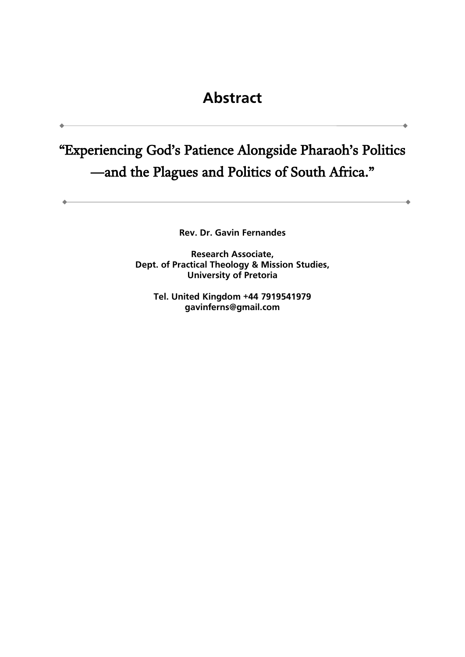## "Experiencing God's Patience Alongside Pharaoh's Politics —and the Plagues and Politics of South Africa."

**Rev. Dr. Gavin Fernandes**

**Research Associate, Dept. of Practical Theology & Mission Studies, University of Pretoria**

**Tel. United Kingdom +44 7919541979 gavinferns@gmail.com**